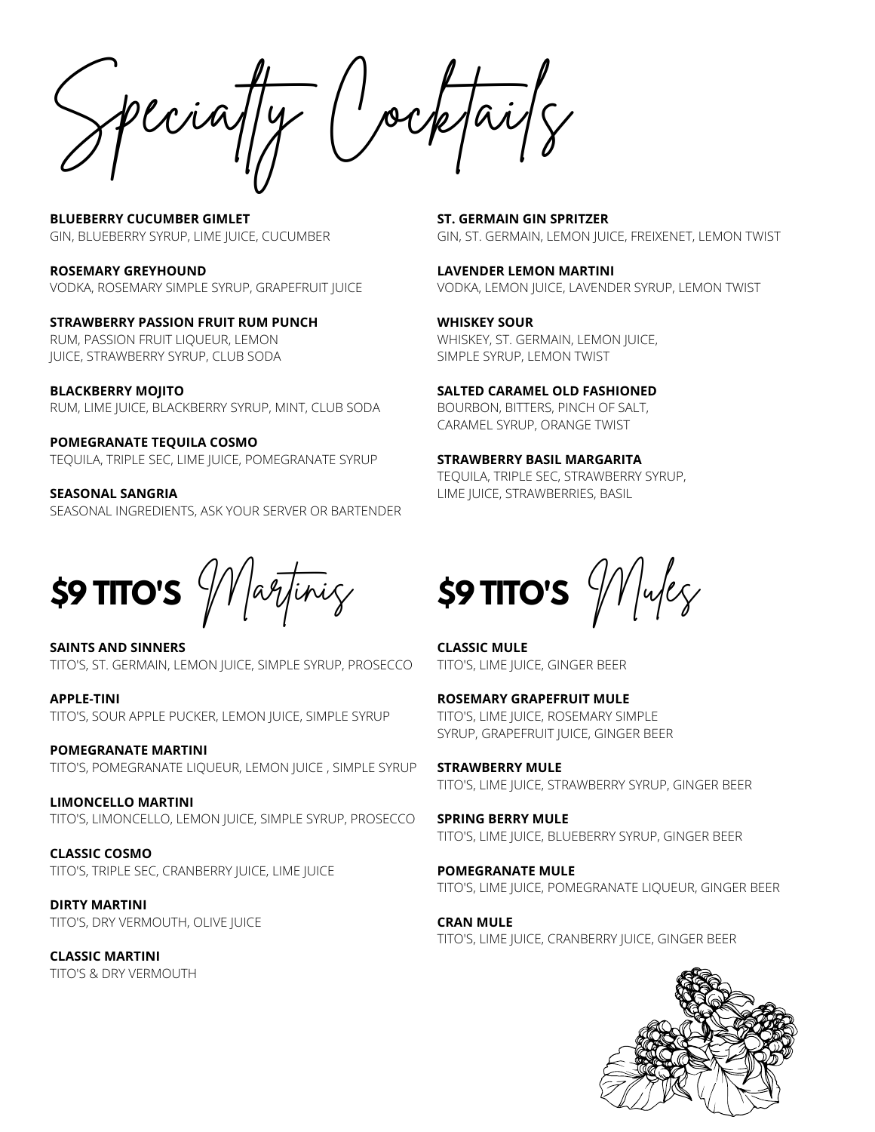Specialty Cocktails

**BLUEBERRY CUCUMBER GIMLET** GIN, BLUEBERRY SYRUP, LIME JUICE, CUCUMBER

**ROSEMARY GREYHOUND** VODKA, ROSEMARY SIMPLE SYRUP, GRAPEFRUIT JUICE

**STRAWBERRY PASSION FRUIT RUM PUNCH** RUM, PASSION FRUIT LIQUEUR, LEMON JUICE, STRAWBERRY SYRUP, CLUB SODA

**BLACKBERRY MOJITO** RUM, LIME JUICE, BLACKBERRY SYRUP, MINT, CLUB SODA

**POMEGRANATE TEQUILA COSMO** TEQUILA, TRIPLE SEC, LIME JUICE, POMEGRANATE SYRUP

**SEASONAL SANGRIA** SEASONAL INGREDIENTS, ASK YOUR SERVER OR BARTENDER

**\$9 TITO'S** *Wartinicy* 

**SAINTS AND SINNERS** TITO'S, ST. GERMAIN, LEMON JUICE, SIMPLE SYRUP, PROSECCO

**APPLE-TINI** TITO'S, SOUR APPLE PUCKER, LEMON JUICE, SIMPLE SYRUP

**POMEGRANATE MARTINI** TITO'S, POMEGRANATE LIQUEUR, LEMON JUICE , SIMPLE SYRUP

**LIMONCELLO MARTINI** TITO'S, LIMONCELLO, LEMON JUICE, SIMPLE SYRUP, PROSECCO

**CLASSIC COSMO** TITO'S, TRIPLE SEC, CRANBERRY JUICE, LIME JUICE

**DIRTY MARTINI** TITO'S, DRY VERMOUTH, OLIVE JUICE

**CLASSIC MARTINI** TITO'S & DRY VERMOUTH

**ST. GERMAIN GIN SPRITZER** GIN, ST. GERMAIN, LEMON JUICE, FREIXENET, LEMON TWIST

**LAVENDER LEMON MARTINI** VODKA, LEMON JUICE, LAVENDER SYRUP, LEMON TWIST

**WHISKEY SOUR** WHISKEY, ST. GERMAIN, LEMON JUICE, SIMPLE SYRUP, LEMON TWIST

**SALTED CARAMEL OLD FASHIONED** BOURBON, BITTERS, PINCH OF SALT, CARAMEL SYRUP, ORANGE TWIST

**STRAWBERRY BASIL MARGARITA** TEQUILA, TRIPLE SEC, STRAWBERRY SYRUP, LIME JUICE, STRAWBERRIES, BASIL

 $$9$  TITO'S  $\frac{1}{2}$   $\frac{1}{2}$   $\frac{1}{2}$ 

**CLASSIC MULE** TITO'S, LIME JUICE, GINGER BEER

**ROSEMARY GRAPEFRUIT MULE** TITO'S, LIME JUICE, ROSEMARY SIMPLE SYRUP, GRAPEFRUIT JUICE, GINGER BEER

**STRAWBERRY MULE** TITO'S, LIME JUICE, STRAWBERRY SYRUP, GINGER BEER

**SPRING BERRY MULE** TITO'S, LIME JUICE, BLUEBERRY SYRUP, GINGER BEER

**POMEGRANATE MULE** TITO'S, LIME JUICE, POMEGRANATE LIQUEUR, GINGER BEER

**CRAN MULE** TITO'S, LIME JUICE, CRANBERRY JUICE, GINGER BEER